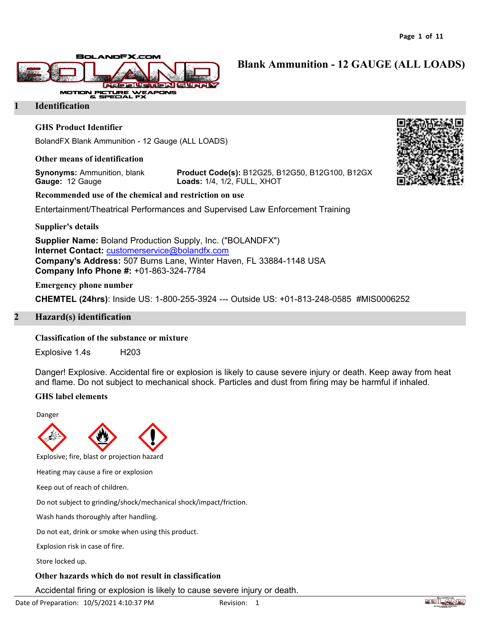**Blank Ammunition - 12 GAUGE (ALL LOADS)**



#### **1 Identification**

#### **GHS Product Identifier**

BolandFX Blank Ammunition - 12 Gauge (ALL LOADS)

#### **Other means of identification**

**Gauge:** 12 Gauge **Loads:** 1/4, 1/2, FULL, XHOT

**Synonyms:** Ammunition, blank **Product Code(s):** B12G25, B12G50, B12G100, B12GX

**Recommended use of the chemical and restriction on use**

Entertainment/Theatrical Performances and Supervised Law Enforcement Training

**Supplier's details**

**Supplier Name:** Boland Production Supply, Inc. ("BOLANDFX") **Internet Contact:** [customerservice@bolandfx.com](mailto:customerservice@bolandfx.com) **Company's Address:** 507 Burns Lane, Winter Haven, FL 33884-1148 USA **Company Info Phone #:** +01-863-324-7784

**Emergency phone number**

**CHEMTEL (24hrs)**: Inside US: 1-800-255-3924 --- Outside US: +01-813-248-0585 #MIS0006252

#### **2 Hazard(s) identification**

#### **Classification of the substance or mixture**

Explosive 1.4s H203

Danger! Explosive. Accidental fire or explosion is likely to cause severe injury or death. Keep away from heat and flame. Do not subject to mechanical shock. Particles and dust from firing may be harmful if inhaled.

#### **GHS label elements**

Danger



Explosive; fire, blast or projection hazard

Heating may cause a fire or explosion

Keep out of reach of children.

Do not subject to grinding/shock/mechanical shock/impact/friction.

Wash hands thoroughly after handling.

Do not eat, drink or smoke when using this product.

Explosion risk in case of fire.

Store locked up.

## **Other hazards which do not result in classification**

Accidental firing or explosion is likely to cause severe injury or death.



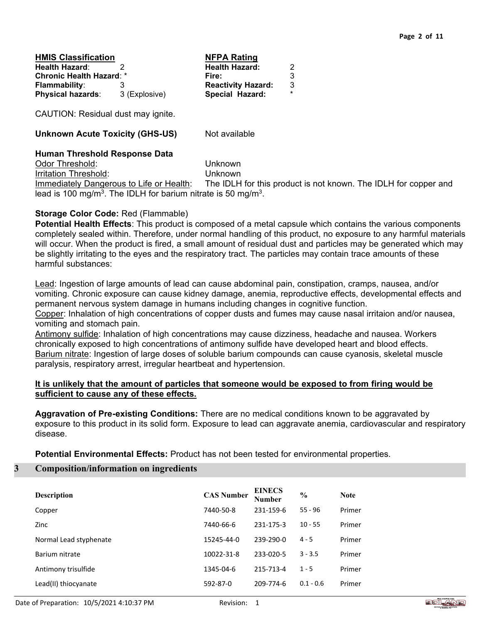| <b>HMIS Classification</b>      |               | <b>NFPA Rating</b>        |         |
|---------------------------------|---------------|---------------------------|---------|
| Health Hazard:                  |               | <b>Health Hazard:</b>     | 2       |
| <b>Chronic Health Hazard: *</b> |               | Fire:                     | 3       |
| <b>Flammability:</b>            |               | <b>Reactivity Hazard:</b> | 3       |
| <b>Physical hazards:</b>        | 3 (Explosive) | Special Hazard:           | $\star$ |

CAUTION: Residual dust may ignite.

**Unknown Acute Toxicity (GHS-US)** Not available

## **Human Threshold Response Data**

Odor Threshold: Unknown Irritation Threshold: Unknown

Immediately Dangerous to Life or Health: The IDLH for this product is not known. The IDLH for copper and lead is 100 mg/m<sup>3</sup>. The IDLH for barium nitrate is 50 mg/m<sup>3</sup>.

## **Storage Color Code:** Red (Flammable)

**Potential Health Effects**: This product is composed of a metal capsule which contains the various components completely sealed within. Therefore, under normal handling of this product, no exposure to any harmful materials will occur. When the product is fired, a small amount of residual dust and particles may be generated which may be slightly irritating to the eyes and the respiratory tract. The particles may contain trace amounts of these harmful substances:

Lead: Ingestion of large amounts of lead can cause abdominal pain, constipation, cramps, nausea, and/or vomiting. Chronic exposure can cause kidney damage, anemia, reproductive effects, developmental effects and permanent nervous system damage in humans including changes in cognitive function.

Copper: Inhalation of high concentrations of copper dusts and fumes may cause nasal irritaion and/or nausea, vomiting and stomach pain.

Antimony sulfide: Inhalation of high concentrations may cause dizziness, headache and nausea. Workers chronically exposed to high concentrations of antimony sulfide have developed heart and blood effects. Barium nitrate: Ingestion of large doses of soluble barium compounds can cause cyanosis, skeletal muscle paralysis, respiratory arrest, irregular heartbeat and hypertension.

## **It is unlikely that the amount of particles that someone would be exposed to from firing would be sufficient to cause any of these effects.**

**Aggravation of Pre-existing Conditions:** There are no medical conditions known to be aggravated by exposure to this product in its solid form. Exposure to lead can aggravate anemia, cardiovascular and respiratory disease.

**Potential Environmental Effects:** Product has not been tested for environmental properties.

## **3 Composition/information on ingredients**

| <b>Description</b>     | <b>CAS Number</b> | <b>EINECS</b><br><b>Number</b> | $\frac{0}{0}$ | <b>Note</b> |
|------------------------|-------------------|--------------------------------|---------------|-------------|
| Copper                 | 7440-50-8         | 231-159-6                      | $55 - 96$     | Primer      |
| Zinc                   | 7440-66-6         | 231-175-3                      | $10 - 55$     | Primer      |
| Normal Lead styphenate | 15245-44-0        | 239-290-0                      | $4 - 5$       | Primer      |
| Barium nitrate         | 10022-31-8        | 233-020-5                      | $3 - 3.5$     | Primer      |
| Antimony trisulfide    | 1345-04-6         | 215-713-4                      | $1 - 5$       | Primer      |
| Lead(II) thiocyanate   | 592-87-0          | 209-774-6                      | $0.1 - 0.6$   | Primer      |

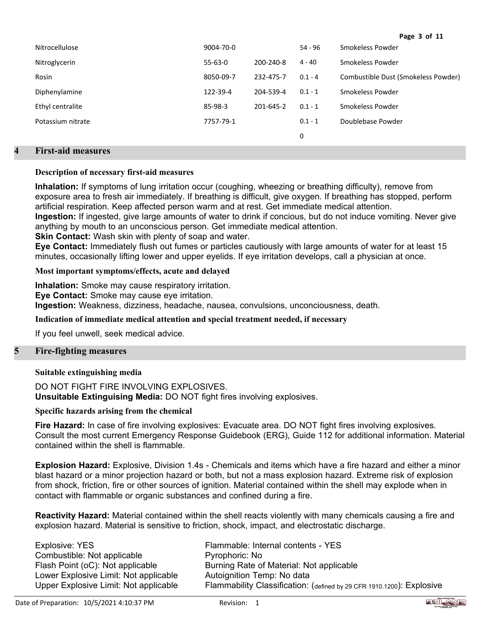| <b>Nitrocellulose</b> | 9004-70-0     |           | $54 - 96$ | Smokeless Powder                    |
|-----------------------|---------------|-----------|-----------|-------------------------------------|
| Nitroglycerin         | $55 - 63 - 0$ | 200-240-8 | $4 - 40$  | Smokeless Powder                    |
| Rosin                 | 8050-09-7     | 232-475-7 | $0.1 - 4$ | Combustible Dust (Smokeless Powder) |
| Diphenylamine         | 122-39-4      | 204-539-4 | $0.1 - 1$ | Smokeless Powder                    |
| Ethyl centralite      | 85-98-3       | 201-645-2 | $0.1 - 1$ | Smokeless Powder                    |
| Potassium nitrate     | 7757-79-1     |           | $0.1 - 1$ | Doublebase Powder                   |
|                       |               |           | 0         |                                     |

# **4 First-aid measures**

## **Description of necessary first-aid measures**

**Inhalation:** If symptoms of lung irritation occur (coughing, wheezing or breathing difficulty), remove from exposure area to fresh air immediately. If breathing is difficult, give oxygen. If breathing has stopped, perform artificial respiration. Keep affected person warm and at rest. Get immediate medical attention. **Ingestion:** If ingested, give large amounts of water to drink if concious, but do not induce vomiting. Never give anything by mouth to an unconscious person. Get immediate medical attention.

**Skin Contact:** Wash skin with plenty of soap and water.

**Eye Contact:** Immediately flush out fumes or particles cautiously with large amounts of water for at least 15 minutes, occasionally lifting lower and upper eyelids. If eye irritation develops, call a physician at once.

**Most important symptoms/effects, acute and delayed**

**Inhalation:** Smoke may cause respiratory irritation.

**Eye Contact:** Smoke may cause eye irritation.

**Ingestion:** Weakness, dizziness, headache, nausea, convulsions, unconciousness, death.

#### **Indication of immediate medical attention and special treatment needed, if necessary**

If you feel unwell, seek medical advice.

## **5 Fire-fighting measures**

## **Suitable extinguishing media**

DO NOT FIGHT FIRE INVOLVING EXPLOSIVES. **Unsuitable Extinguising Media:** DO NOT fight fires involving explosives.

#### **Specific hazards arising from the chemical**

**Fire Hazard:** In case of fire involving explosives: Evacuate area. DO NOT fight fires involving explosives. Consult the most current Emergency Response Guidebook (ERG), Guide 112 for additional information. Material contained within the shell is flammable.

**Explosion Hazard:** Explosive, Division 1.4s - Chemicals and items which have a fire hazard and either a minor blast hazard or a minor projection hazard or both, but not a mass explosion hazard. Extreme risk of explosion from shock, friction, fire or other sources of ignition. Material contained within the shell may explode when in contact with flammable or organic substances and confined during a fire.

**Reactivity Hazard:** Material contained within the shell reacts violently with many chemicals causing a fire and explosion hazard. Material is sensitive to friction, shock, impact, and electrostatic discharge.

| Explosive: YES                        |
|---------------------------------------|
| Combustible: Not applicable           |
| Flash Point (oC): Not applicable      |
| Lower Explosive Limit: Not applicable |
| Upper Explosive Limit: Not applicable |

Flammable: Internal contents - YES Pyrophoric: No Burning Rate of Material: Not applicable Autoignition Temp: No data Flammability Classification: (defined by 29 CFR 1910.1200): Explosive



**Page 3 of 11**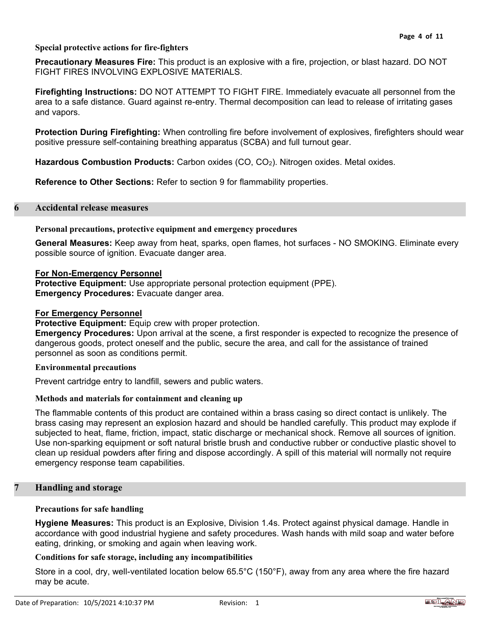# **Special protective actions for fire-fighters**

**Precautionary Measures Fire:** This product is an explosive with a fire, projection, or blast hazard. DO NOT FIGHT FIRES INVOLVING EXPLOSIVE MATERIALS.

**Firefighting Instructions:** DO NOT ATTEMPT TO FIGHT FIRE. Immediately evacuate all personnel from the area to a safe distance. Guard against re-entry. Thermal decomposition can lead to release of irritating gases and vapors.

**Protection During Firefighting:** When controlling fire before involvement of explosives, firefighters should wear positive pressure self-containing breathing apparatus (SCBA) and full turnout gear.

**Hazardous Combustion Products:** Carbon oxides (CO, CO2). Nitrogen oxides. Metal oxides.

**Reference to Other Sections:** Refer to section 9 for flammability properties.

# **6 Accidental release measures**

## **Personal precautions, protective equipment and emergency procedures**

**General Measures:** Keep away from heat, sparks, open flames, hot surfaces - NO SMOKING. Eliminate every possible source of ignition. Evacuate danger area.

## **For Non-Emergency Personnel**

**Protective Equipment:** Use appropriate personal protection equipment (PPE). **Emergency Procedures:** Evacuate danger area.

### **For Emergency Personnel**

### **Protective Equipment:** Equip crew with proper protection.

**Emergency Procedures:** Upon arrival at the scene, a first responder is expected to recognize the presence of dangerous goods, protect oneself and the public, secure the area, and call for the assistance of trained personnel as soon as conditions permit.

#### **Environmental precautions**

Prevent cartridge entry to landfill, sewers and public waters.

## **Methods and materials for containment and cleaning up**

The flammable contents of this product are contained within a brass casing so direct contact is unlikely. The brass casing may represent an explosion hazard and should be handled carefully. This product may explode if subjected to heat, flame, friction, impact, static discharge or mechanical shock. Remove all sources of ignition. Use non-sparking equipment or soft natural bristle brush and conductive rubber or conductive plastic shovel to clean up residual powders after firing and dispose accordingly. A spill of this material will normally not require emergency response team capabilities.

## **7 Handling and storage**

### **Precautions for safe handling**

**Hygiene Measures:** This product is an Explosive, Division 1.4s. Protect against physical damage. Handle in accordance with good industrial hygiene and safety procedures. Wash hands with mild soap and water before eating, drinking, or smoking and again when leaving work.

## **Conditions for safe storage, including any incompatibilities**

Store in a cool, dry, well-ventilated location below 65.5°C (150°F), away from any area where the fire hazard may be acute.

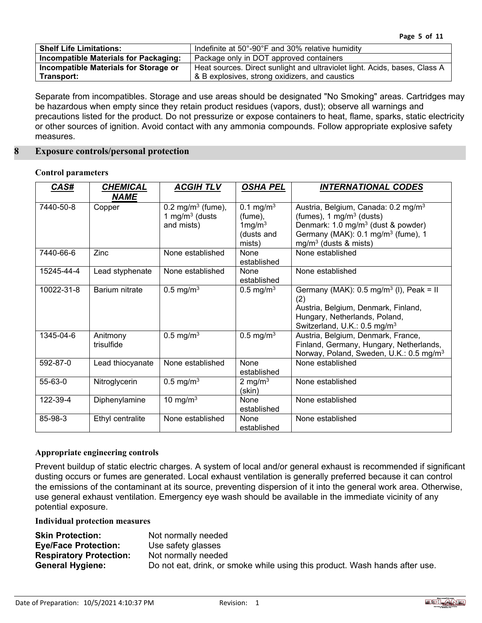| <b>Shelf Life Limitations:</b>               | Indefinite at 50°-90°F and 30% relative humidity                           |
|----------------------------------------------|----------------------------------------------------------------------------|
| <b>Incompatible Materials for Packaging:</b> | Package only in DOT approved containers                                    |
| Incompatible Materials for Storage or        | Heat sources. Direct sunlight and ultraviolet light. Acids, bases, Class A |
| Transport:                                   | & B explosives, strong oxidizers, and caustics                             |

Separate from incompatibles. Storage and use areas should be designated "No Smoking" areas. Cartridges may be hazardous when empty since they retain product residues (vapors, dust); observe all warnings and precautions listed for the product. Do not pressurize or expose containers to heat, flame, sparks, static electricity or other sources of ignition. Avoid contact with any ammonia compounds. Follow appropriate explosive safety measures.

### **8 Exposure controls/personal protection**

### **Control parameters**

| CAS#          | <b>CHEMICAL</b><br><b>NAME</b> | <b>ACGIH TLV</b>                                                | <b>OSHA PEL</b>                                                          | <b>INTERNATIONAL CODES</b>                                                                                                                                                                                             |
|---------------|--------------------------------|-----------------------------------------------------------------|--------------------------------------------------------------------------|------------------------------------------------------------------------------------------------------------------------------------------------------------------------------------------------------------------------|
| 7440-50-8     | Copper                         | $0.2 \text{ mg/m}^3$ (fume),<br>1 mg/m $3$ (dusts<br>and mists) | 0.1 mg/m <sup>3</sup><br>(fume),<br>$1$ mg/m $3$<br>(dusts and<br>mists) | Austria, Belgium, Canada: 0.2 mg/m <sup>3</sup><br>(fumes), 1 mg/m <sup>3</sup> (dusts)<br>Denmark: 1.0 mg/m <sup>3</sup> (dust & powder)<br>Germany (MAK): 0.1 mg/m <sup>3</sup> (fume), 1<br>$mg/m3$ (dusts & mists) |
| 7440-66-6     | Zinc                           | None established                                                | None<br>established                                                      | None established                                                                                                                                                                                                       |
| 15245-44-4    | Lead styphenate                | None established                                                | None<br>established                                                      | None established                                                                                                                                                                                                       |
| 10022-31-8    | Barium nitrate                 | $0.5 \text{ mg/m}^3$                                            | 0.5 mg/m <sup>3</sup>                                                    | Germany (MAK): $0.5 \text{ mg/m}^3$ (I), Peak = II<br>(2)<br>Austria, Belgium, Denmark, Finland,<br>Hungary, Netherlands, Poland,<br>Switzerland, U.K.: 0.5 mg/m <sup>3</sup>                                          |
| 1345-04-6     | Anitmony<br>trisulfide         | $0.5 \text{ mg/m}^3$                                            | $0.5 \text{ mg/m}^3$                                                     | Austria, Belgium, Denmark, France,<br>Finland, Germany, Hungary, Netherlands,<br>Norway, Poland, Sweden, U.K.: 0.5 mg/m <sup>3</sup>                                                                                   |
| 592-87-0      | Lead thiocyanate               | None established                                                | None<br>established                                                      | None established                                                                                                                                                                                                       |
| $55 - 63 - 0$ | Nitroglycerin                  | $0.5 \text{ mg/m}^3$                                            | 2 mg/m $3$<br>(skin)                                                     | None established                                                                                                                                                                                                       |
| 122-39-4      | Diphenylamine                  | 10 mg/m $3$                                                     | None<br>established                                                      | None established                                                                                                                                                                                                       |
| 85-98-3       | Ethyl centralite               | None established                                                | None<br>established                                                      | None established                                                                                                                                                                                                       |

## **Appropriate engineering controls**

Prevent buildup of static electric charges. A system of local and/or general exhaust is recommended if significant dusting occurs or fumes are generated. Local exhaust ventilation is generally preferred because it can control the emissions of the contaminant at its source, preventing dispersion of it into the general work area. Otherwise, use general exhaust ventilation. Emergency eye wash should be available in the immediate vicinity of any potential exposure.

## **Individual protection measures**

| <b>Skin Protection:</b>        | Not normally needed                                                         |
|--------------------------------|-----------------------------------------------------------------------------|
| <b>Eye/Face Protection:</b>    | Use safety glasses                                                          |
| <b>Respiratory Protection:</b> | Not normally needed                                                         |
| <b>General Hygiene:</b>        | Do not eat, drink, or smoke while using this product. Wash hands after use. |

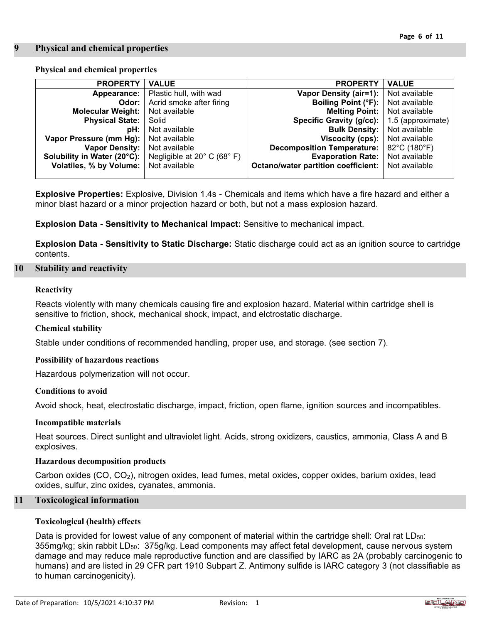## **9 Physical and chemical properties**

# **Physical and chemical properties**

| <b>PROPERTY</b>             | <b>VALUE</b>                | <b>PROPERTY</b>                            | <b>VALUE</b>      |
|-----------------------------|-----------------------------|--------------------------------------------|-------------------|
| Appearance:                 | Plastic hull, with wad      | Vapor Density (air=1):                     | Not available     |
| Odor:                       | Acrid smoke after firing    | Boiling Point (°F):                        | Not available     |
| <b>Molecular Weight:</b>    | Not available               | <b>Melting Point:</b> Not available        |                   |
| <b>Physical State:</b>      | Solid                       | Specific Gravity (g/cc):                   | 1.5 (approximate) |
| pH:                         | Not available               | <b>Bulk Density:</b>   Not available       |                   |
| Vapor Pressure (mm Hg):     | Not available               | Viscocity (cps):                           | Not available     |
| <b>Vapor Density:</b>       | Not available               | <b>Decomposition Temperature:</b>          | 82°C (180°F)      |
| Solubility in Water (20°C): | Negligible at 20° C (68° F) | <b>Evaporation Rate:</b>                   | Not available     |
| Volatiles, % by Volume:     | Not available               | <b>Octano/water partition coefficient:</b> | Not available     |
|                             |                             |                                            |                   |

**Explosive Properties:** Explosive, Division 1.4s - Chemicals and items which have a fire hazard and either a minor blast hazard or a minor projection hazard or both, but not a mass explosion hazard.

**Explosion Data - Sensitivity to Mechanical Impact:** Sensitive to mechanical impact.

**Explosion Data - Sensitivity to Static Discharge:** Static discharge could act as an ignition source to cartridge contents.

## **10 Stability and reactivity**

### **Reactivity**

Reacts violently with many chemicals causing fire and explosion hazard. Material within cartridge shell is sensitive to friction, shock, mechanical shock, impact, and elctrostatic discharge.

## **Chemical stability**

Stable under conditions of recommended handling, proper use, and storage. (see section 7).

#### **Possibility of hazardous reactions**

Hazardous polymerization will not occur.

#### **Conditions to avoid**

Avoid shock, heat, electrostatic discharge, impact, friction, open flame, ignition sources and incompatibles.

#### **Incompatible materials**

Heat sources. Direct sunlight and ultraviolet light. Acids, strong oxidizers, caustics, ammonia, Class A and B explosives.

#### **Hazardous decomposition products**

Carbon oxides (CO, CO2), nitrogen oxides, lead fumes, metal oxides, copper oxides, barium oxides, lead oxides, sulfur, zinc oxides, cyanates, ammonia.

## **11 Toxicological information**

## **Toxicological (health) effects**

Data is provided for lowest value of any component of material within the cartridge shell: Oral rat LD<sub>50</sub>: 355mg/kg; skin rabbit LD<sub>50</sub>: 375g/kg. Lead components may affect fetal development, cause nervous system damage and may reduce male reproductive function and are classified by IARC as 2A (probably carcinogenic to humans) and are listed in 29 CFR part 1910 Subpart Z. Antimony sulfide is IARC category 3 (not classifiable as to human carcinogenicity).

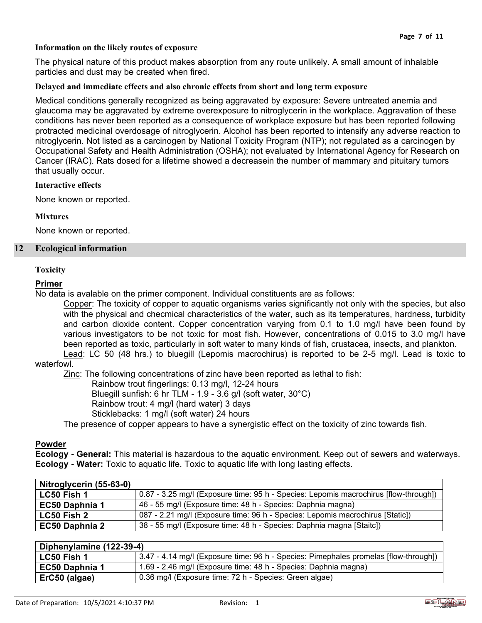## **Information on the likely routes of exposure**

The physical nature of this product makes absorption from any route unlikely. A small amount of inhalable particles and dust may be created when fired.

## **Delayed and immediate effects and also chronic effects from short and long term exposure**

Medical conditions generally recognized as being aggravated by exposure: Severe untreated anemia and glaucoma may be aggravated by extreme overexposure to nitroglycerin in the workplace. Aggravation of these conditions has never been reported as a consequence of workplace exposure but has been reported following protracted medicinal overdosage of nitroglycerin. Alcohol has been reported to intensify any adverse reaction to nitroglycerin. Not listed as a carcinogen by National Toxicity Program (NTP); not regulated as a carcinogen by Occupational Safety and Health Administration (OSHA); not evaluated by International Agency for Research on Cancer (IRAC). Rats dosed for a lifetime showed a decreasein the number of mammary and pituitary tumors that usually occur.

#### **Interactive effects**

None known or reported.

### **Mixtures**

None known or reported.

### **12 Ecological information**

### **Toxicity**

### **Primer**

No data is avalable on the primer component. Individual constituents are as follows:

Copper: The toxicity of copper to aquatic organisms varies significantly not only with the species, but also with the physical and checmical characteristics of the water, such as its temperatures, hardness, turbidity and carbon dioxide content. Copper concentration varying from 0.1 to 1.0 mg/l have been found by various investigators to be not toxic for most fish. However, concentrations of 0.015 to 3.0 mg/l have been reported as toxic, particularly in soft water to many kinds of fish, crustacea, insects, and plankton. Lead: LC 50 (48 hrs.) to bluegill (Lepomis macrochirus) is reported to be 2-5 mg/l. Lead is toxic to

## waterfowl.

Zinc: The following concentrations of zinc have been reported as lethal to fish:

Rainbow trout fingerlings: 0.13 mg/l, 12-24 hours

Bluegill sunfish: 6 hr TLM - 1.9 - 3.6 g/l (soft water, 30°C)

Rainbow trout: 4 mg/l (hard water) 3 days

Sticklebacks: 1 mg/l (soft water) 24 hours

The presence of copper appears to have a synergistic effect on the toxicity of zinc towards fish.

## **Powder**

**Ecology - General:** This material is hazardous to the aquatic environment. Keep out of sewers and waterways. **Ecology - Water:** Toxic to aquatic life. Toxic to aquatic life with long lasting effects.

| Nitroglycerin (55-63-0) |                                                                                      |
|-------------------------|--------------------------------------------------------------------------------------|
| <b>LC50 Fish 1</b>      | 0.87 - 3.25 mg/l (Exposure time: 95 h - Species: Lepomis macrochirus [flow-through]) |
| EC50 Daphnia 1          | 46 - 55 mg/l (Exposure time: 48 h - Species: Daphnia magna)                          |
| <b>LC50 Fish 2</b>      | 087 - 2.21 mg/l (Exposure time: 96 h - Species: Lepomis macrochirus [Static])        |
| <b>EC50 Daphnia 2</b>   | 38 - 55 mg/l (Exposure time: 48 h - Species: Daphnia magna [Staitc])                 |

| Diphenylamine (122-39-4) |                                                                                      |
|--------------------------|--------------------------------------------------------------------------------------|
| LC50 Fish 1              | 3.47 - 4.14 mg/l (Exposure time: 96 h - Species: Pimephales promelas [flow-through]) |
| <b>EC50 Daphnia 1</b>    | 1.69 - 2.46 mg/l (Exposure time: 48 h - Species: Daphnia magna)                      |
| ErC50 (algae)            | 0.36 mg/l (Exposure time: 72 h - Species: Green algae)                               |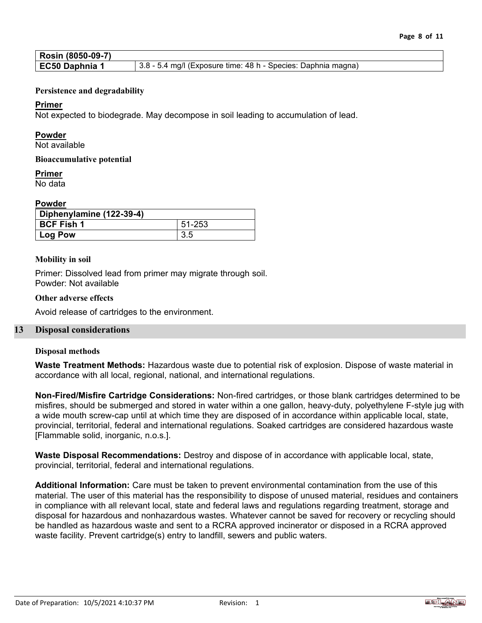| Rosin (8050-09-7) |                                                               |
|-------------------|---------------------------------------------------------------|
| EC50 Daphnia 1    | 3.8 - 5.4 mg/l (Exposure time: 48 h - Species: Daphnia magna) |

## **Persistence and degradability**

## **Primer**

Not expected to biodegrade. May decompose in soil leading to accumulation of lead.

## **Powder**

Not available

### **Bioaccumulative potential**

## **Primer**

No data

# **Powder**

| Diphenylamine (122-39-4) |        |  |
|--------------------------|--------|--|
| BCF Fish 1               | 51-253 |  |
| Log Pow                  | 3.5    |  |

### **Mobility in soil**

Primer: Dissolved lead from primer may migrate through soil. Powder: Not available

## **Other adverse effects**

Avoid release of cartridges to the environment.

## **13 Disposal considerations**

#### **Disposal methods**

**Waste Treatment Methods:** Hazardous waste due to potential risk of explosion. Dispose of waste material in accordance with all local, regional, national, and international regulations.

**Non-Fired/Misfire Cartridge Considerations:** Non-fired cartridges, or those blank cartridges determined to be misfires, should be submerged and stored in water within a one gallon, heavy-duty, polyethylene F-style jug with a wide mouth screw-cap until at which time they are disposed of in accordance within applicable local, state, provincial, territorial, federal and international regulations. Soaked cartridges are considered hazardous waste [Flammable solid, inorganic, n.o.s.].

**Waste Disposal Recommendations:** Destroy and dispose of in accordance with applicable local, state, provincial, territorial, federal and international regulations.

**Additional Information:** Care must be taken to prevent environmental contamination from the use of this material. The user of this material has the responsibility to dispose of unused material, residues and containers in compliance with all relevant local, state and federal laws and regulations regarding treatment, storage and disposal for hazardous and nonhazardous wastes. Whatever cannot be saved for recovery or recycling should be handled as hazardous waste and sent to a RCRA approved incinerator or disposed in a RCRA approved waste facility. Prevent cartridge(s) entry to landfill, sewers and public waters.

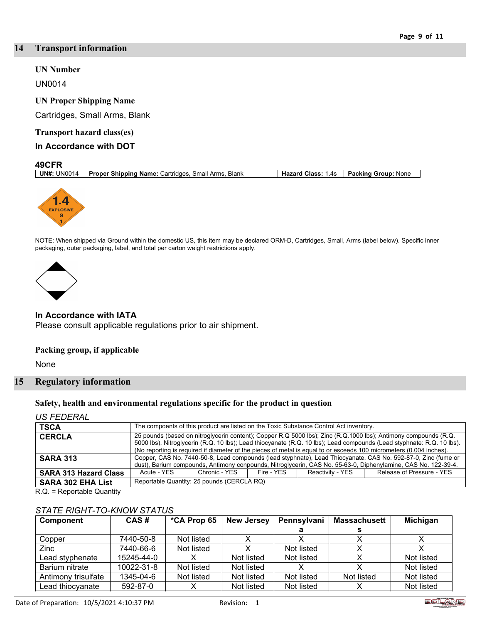### **14 Transport information**

### **UN Number**

UN0014

### **UN Proper Shipping Name**

Cartridges, Small Arms, Blank

### **Transport hazard class(es)**

### **In Accordance with DOT**

#### **49CFR**<br><u>UN#: UN0014</u> **Proper Shipping Name:** Cartridges, Small Arms, Blank **Hazard Class:** 1.4s **Packing Group:** None



NOTE: When shipped via Ground within the domestic US, this item may be declared ORM-D, Cartridges, Small, Arms (label below). Specific inner packaging, outer packaging, label, and total per carton weight restrictions apply.



### **In Accordance with IATA**

Please consult applicable regulations prior to air shipment.

#### **Packing group, if applicable**

None

### **15 Regulatory information**

#### **Safety, health and environmental regulations specific for the product in question**

*US FEDERAL*

| <b>TSCA</b>                  | The compoents of this product are listed on the Toxic Substance Control Act inventory.                                                                                                                                                                                                                                                                          |                                            |            |                  |                           |
|------------------------------|-----------------------------------------------------------------------------------------------------------------------------------------------------------------------------------------------------------------------------------------------------------------------------------------------------------------------------------------------------------------|--------------------------------------------|------------|------------------|---------------------------|
| <b>CERCLA</b>                | 25 pounds (based on nitroglycerin content); Copper R.Q 5000 lbs); Zinc (R.Q.1000 lbs); Antimony compounds (R.Q.<br>5000 lbs), Nitroglycerin (R.Q. 10 lbs); Lead thiocyanate (R.Q. 10 lbs); Lead compounds (Lead styphnate: R.Q. 10 lbs).<br>(No reporting is required if diameter of the pieces of metal is equal to or esceeds 100 micrometers (0.004 inches). |                                            |            |                  |                           |
| <b>SARA 313</b>              | Copper, CAS No. 7440-50-8, Lead compounds (lead styphnate), Lead Thiocyanate, CAS No. 592-87-0, Zinc (fume or<br>dust), Barium compounds, Antimony conpounds, Nitroglycerin, CAS No. 55-63-0, Diphenylamine, CAS No. 122-39-4.                                                                                                                                  |                                            |            |                  |                           |
| <b>SARA 313 Hazard Class</b> | Acute - YES                                                                                                                                                                                                                                                                                                                                                     | Chronic - YFS                              | Fire - YFS | Reactivity - YES | Release of Pressure - YES |
| <b>SARA 302 EHA List</b>     |                                                                                                                                                                                                                                                                                                                                                                 | Reportable Quantity: 25 pounds (CERCLA RQ) |            |                  |                           |

R.Q. = Reportable Quantity

## *STATE RIGHT-TO-KNOW STATUS*

| Component           | CAS#       | *CA Prop 65 | <b>New Jersey</b> | Pennsylvani | <b>Massachusett</b> | Michigan   |
|---------------------|------------|-------------|-------------------|-------------|---------------------|------------|
|                     |            |             |                   |             |                     |            |
| Copper              | 7440-50-8  | Not listed  |                   |             |                     |            |
| Zinc                | 7440-66-6  | Not listed  |                   | Not listed  |                     |            |
| Lead styphenate     | 15245-44-0 |             | Not listed        | Not listed  |                     | Not listed |
| Barium nitrate      | 10022-31-8 | Not listed  | Not listed        |             |                     | Not listed |
| Antimony trisulfate | 1345-04-6  | Not listed  | Not listed        | Not listed  | Not listed          | Not listed |
| Lead thiocyanate    | 592-87-0   |             | Not listed        | Not listed  |                     | Not listed |

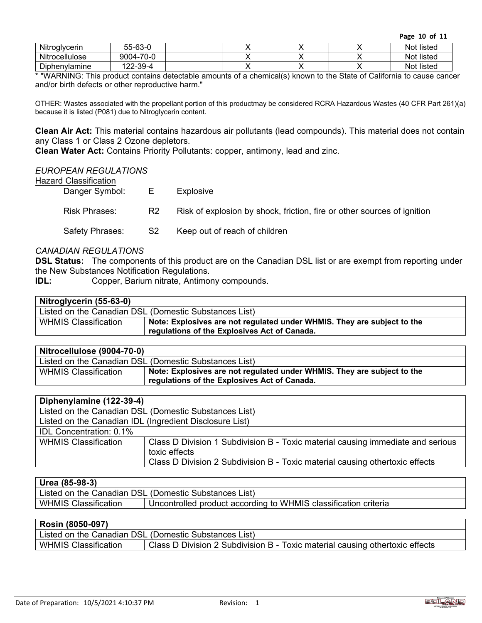**Page 10 of 11**

| Nitroglycerin  | $55 - 63 - 0$       |  |  | Not listed |
|----------------|---------------------|--|--|------------|
| Nitrocellulose | $-70-0$<br>9004-7   |  |  | Not listed |
| Diphenylamine  | 2-39-4<br>າດດ<br>__ |  |  | Not listed |

\* "WARNING: This product contains detectable amounts of a chemical(s) known to the State of California to cause cancer and/or birth defects or other reproductive harm."

OTHER: Wastes associated with the propellant portion of this productmay be considered RCRA Hazardous Wastes (40 CFR Part 261)(a) because it is listed (P081) due to Nitroglycerin content.

**Clean Air Act:** This material contains hazardous air pollutants (lead compounds). This material does not contain any Class 1 or Class 2 Ozone depletors.

**Clean Water Act:** Contains Priority Pollutants: copper, antimony, lead and zinc.

### *EUROPEAN REGULATIONS*

| <b>Hazard Classification</b> |
|------------------------------|
|                              |

| Danger Symbol:       | E              | <b>Explosive</b>                                                        |
|----------------------|----------------|-------------------------------------------------------------------------|
| <b>Risk Phrases:</b> | R <sub>2</sub> | Risk of explosion by shock, friction, fire or other sources of ignition |
| Safety Phrases:      | S2             | Keep out of reach of children                                           |

# *CANADIAN REGULATIONS*

**DSL Status:** The components of this product are on the Canadian DSL list or are exempt from reporting under the New Substances Notification Regulations.

**IDL:** Copper, Barium nitrate, Antimony compounds.

| Nitroglycerin (55-63-0)     |                                                                                                                         |
|-----------------------------|-------------------------------------------------------------------------------------------------------------------------|
|                             | Listed on the Canadian DSL (Domestic Substances List)                                                                   |
| <b>WHMIS Classification</b> | Note: Explosives are not regulated under WHMIS. They are subject to the<br>regulations of the Explosives Act of Canada. |

| Nitrocellulose (9004-70-0)  |                                                                                                                         |
|-----------------------------|-------------------------------------------------------------------------------------------------------------------------|
|                             | Listed on the Canadian DSL (Domestic Substances List)                                                                   |
| <b>WHMIS Classification</b> | Note: Explosives are not regulated under WHMIS. They are subject to the<br>regulations of the Explosives Act of Canada. |

| Diphenylamine (122-39-4)                                |                                                                                                  |  |
|---------------------------------------------------------|--------------------------------------------------------------------------------------------------|--|
| Listed on the Canadian DSL (Domestic Substances List)   |                                                                                                  |  |
| Listed on the Canadian IDL (Ingredient Disclosure List) |                                                                                                  |  |
| <b>IDL Concentration: 0.1%</b>                          |                                                                                                  |  |
| <b>WHMIS Classification</b>                             | Class D Division 1 Subdivision B - Toxic material causing immediate and serious<br>toxic effects |  |
|                                                         | Class D Division 2 Subdivision B - Toxic material causing othertoxic effects                     |  |

# **Urea (85-98-3)**

|                             | Listed on the Canadian DSL (Domestic Substances List)           |
|-----------------------------|-----------------------------------------------------------------|
| <b>WHMIS Classification</b> | Uncontrolled product according to WHMIS classification criteria |

# **Rosin (8050-097)**

| Listed on the Canadian DSL (Domestic Substances List) |                                                                              |  |
|-------------------------------------------------------|------------------------------------------------------------------------------|--|
| <b>WHMIS Classification</b>                           | Class D Division 2 Subdivision B - Toxic material causing othertoxic effects |  |